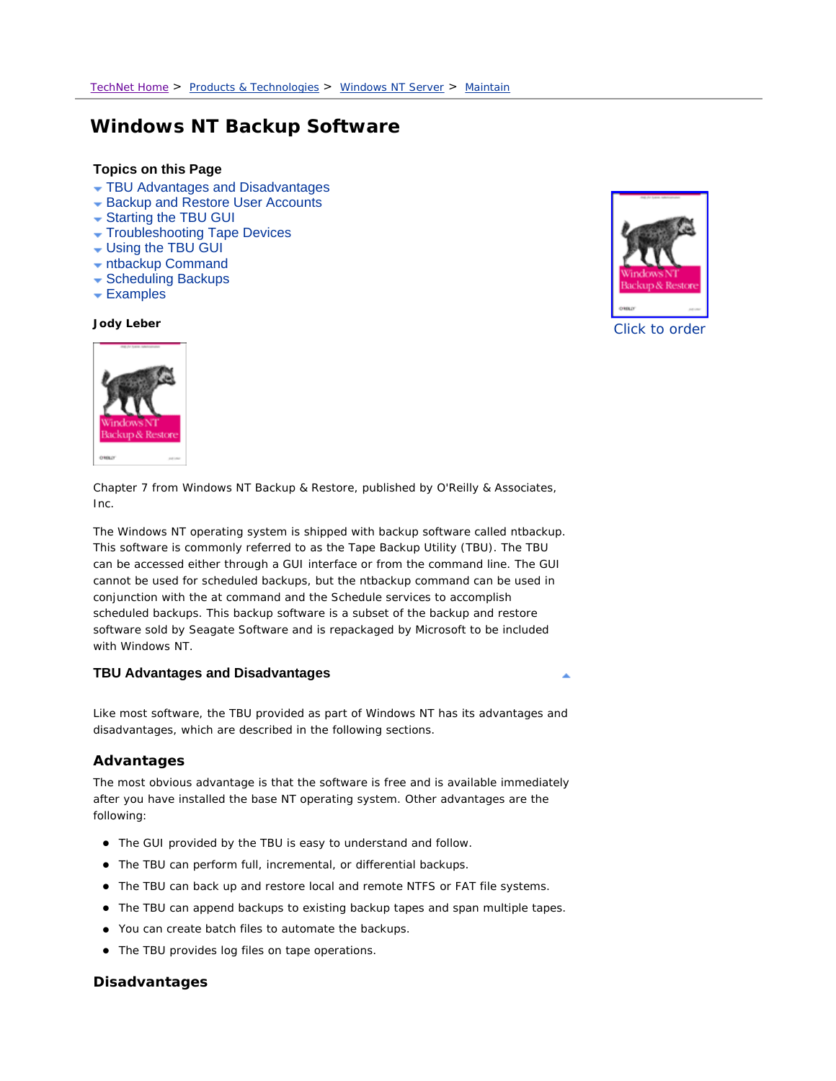# **Windows NT Backup Software**

# **Topics on this Page**

- **TBU Advantages and Disadvantages**
- **Backup and Restore User Accounts**
- Starting the TBU GUI
- **Troubleshooting Tape Devices**
- ▼ Using the TBU GUI
- ntbackup Command
- ▼ Scheduling Backups
- Examples

#### **Jody Leber**



Chapter 7 from *Windows NT Backup & Restore*, published by O'Reilly & Associates, Inc.

The Windows NT operating system is shipped with backup software called ntbackup. This software is commonly referred to as the Tape Backup Utility (TBU). The TBU can be accessed either through a GUI interface or from the command line. The GUI cannot be used for scheduled backups, but the ntbackup command can be used in conjunction with the at command and the Schedule services to accomplish scheduled backups. This backup software is a subset of the backup and restore software sold by Seagate Software and is repackaged by Microsoft to be included with Windows NT.

# **TBU Advantages and Disadvantages**

Like most software, the TBU provided as part of Windows NT has its advantages and disadvantages, which are described in the following sections.

# **Advantages**

The most obvious advantage is that the software is free and is available immediately after you have installed the base NT operating system. Other advantages are the following:

- The GUI provided by the TBU is easy to understand and follow.
- $\bullet$  The TBU can perform full, incremental, or differential backups.
- The TBU can back up and restore local and remote NTFS or FAT file systems.
- The TBU can append backups to existing backup tapes and span multiple tapes.
- You can create batch files to automate the backups.
- The TBU provides log files on tape operations.

# **Disadvantages**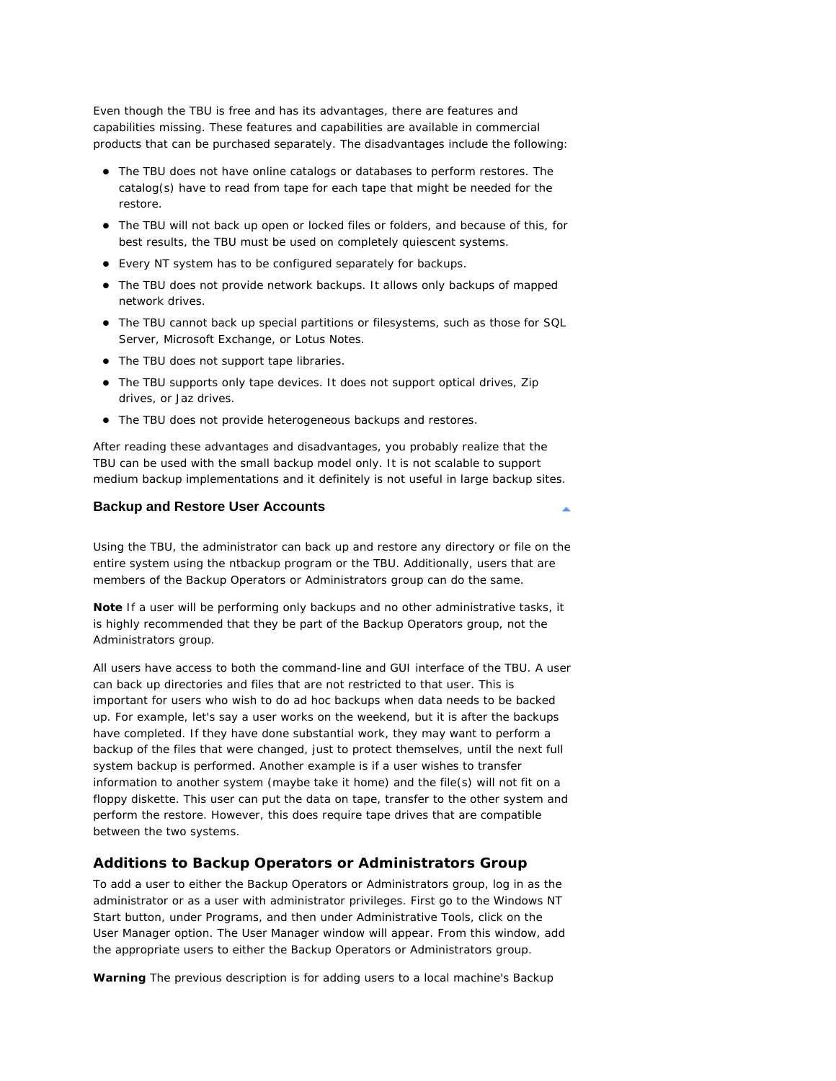Even though the TBU is free and has its advantages, there are features and capabilities missing. These features and capabilities are available in commercial products that can be purchased separately. The disadvantages include the following:

- The TBU does not have online catalogs or databases to perform restores. The catalog(s) have to read from tape for each tape that might be needed for the restore.
- The TBU will not back up open or locked files or folders, and because of this, for best results, the TBU must be used on completely quiescent systems.
- Every NT system has to be configured separately for backups.
- The TBU does not provide network backups. It allows only backups of mapped network drives.
- The TBU cannot back up special partitions or filesystems, such as those for SQL Server, Microsoft Exchange, or Lotus Notes.
- The TBU does not support tape libraries.
- The TBU supports only tape devices. It does not support optical drives, Zip drives, or Jaz drives.
- The TBU does not provide heterogeneous backups and restores.

After reading these advantages and disadvantages, you probably realize that the TBU can be used with the small backup model only. It is not scalable to support medium backup implementations and it definitely is not useful in large backup sites.

### **Backup and Restore User Accounts**

Using the TBU, the administrator can back up and restore any directory or file on the entire system using the ntbackup program or the TBU. Additionally, users that are members of the Backup Operators or Administrators group can do the same.

**Note** If a user will be performing only backups and no other administrative tasks, it is highly recommended that they be part of the Backup Operators group, not the Administrators group.

All users have access to both the command-line and GUI interface of the TBU. A user can back up directories and files that are not restricted to that user. This is important for users who wish to do ad hoc backups when data needs to be backed up. For example, let's say a user works on the weekend, but it is after the backups have completed. If they have done substantial work, they may want to perform a backup of the files that were changed, just to protect themselves, until the next full system backup is performed. Another example is if a user wishes to transfer information to another system (maybe take it home) and the file(s) will not fit on a floppy diskette. This user can put the data on tape, transfer to the other system and perform the restore. However, this does require tape drives that are compatible between the two systems.

# **Additions to Backup Operators or Administrators Group**

To add a user to either the Backup Operators or Administrators group, log in as the administrator or as a user with administrator privileges. First go to the Windows NT Start button, under Programs, and then under Administrative Tools, click on the User Manager option. The User Manager window will appear. From this window, add the appropriate users to either the Backup Operators or Administrators group.

**Warning** The previous description is for adding users to a local machine's Backup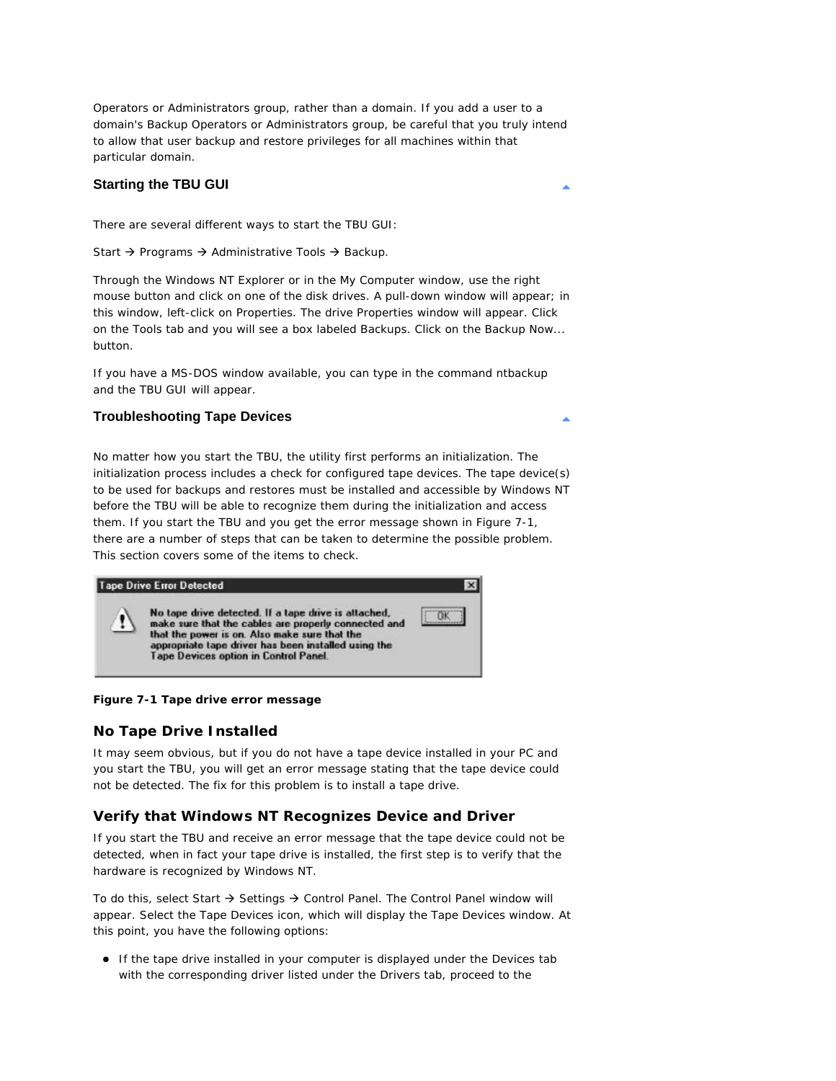Operators or Administrators group, rather than a domain. If you add a user to a domain's Backup Operators or Administrators group, be careful that you truly intend to allow that user backup and restore privileges for all machines within that particular domain.

# **Starting the TBU GUI**

There are several different ways to start the TBU GUI:

Start  $\rightarrow$  Programs  $\rightarrow$  Administrative Tools  $\rightarrow$  Backup.

Through the Windows NT Explorer or in the My Computer window, use the right mouse button and click on one of the disk drives. A pull-down window will appear; in this window, left-click on Properties. The drive Properties window will appear. Click on the Tools tab and you will see a box labeled Backups. Click on the Backup Now... button.

If you have a MS-DOS window available, you can type in the command ntbackup and the TBU GUI will appear.

# **Troubleshooting Tape Devices**

No matter how you start the TBU, the utility first performs an initialization. The initialization process includes a check for configured tape devices. The tape device(s) to be used for backups and restores must be installed and accessible by Windows NT before the TBU will be able to recognize them during the initialization and access them. If you start the TBU and you get the error message shown in Figure 7-1, there are a number of steps that can be taken to determine the possible problem. This section covers some of the items to check.



### **Figure 7-1 Tape drive error message**

# **No Tape Drive Installed**

It may seem obvious, but if you do not have a tape device installed in your PC and you start the TBU, you will get an error message stating that the tape device could not be detected. The fix for this problem is to install a tape drive.

# **Verify that Windows NT Recognizes Device and Driver**

If you start the TBU and receive an error message that the tape device could not be detected, when in fact your tape drive is installed, the first step is to verify that the hardware is recognized by Windows NT.

To do this, select Start  $\rightarrow$  Settings  $\rightarrow$  Control Panel. The Control Panel window will appear. Select the Tape Devices icon, which will display the Tape Devices window. At this point, you have the following options:

**.** If the tape drive installed in your computer is displayed under the Devices tab with the corresponding driver listed under the Drivers tab, proceed to the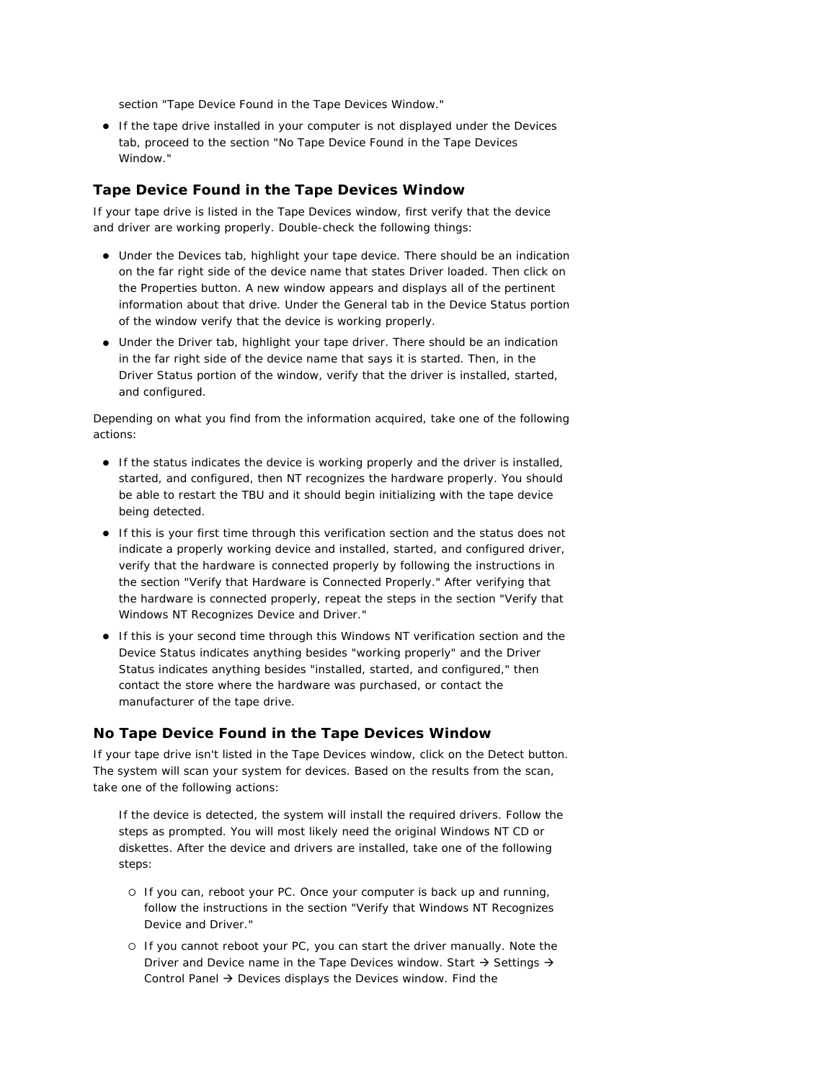section "Tape Device Found in the Tape Devices Window."

If the tape drive installed in your computer is not displayed under the Devices tab, proceed to the section "No Tape Device Found in the Tape Devices Window."

# **Tape Device Found in the Tape Devices Window**

If your tape drive is listed in the Tape Devices window, first verify that the device and driver are working properly. Double-check the following things:

- Under the Devices tab, highlight your tape device. There should be an indication on the far right side of the device name that states Driver loaded. Then click on the Properties button. A new window appears and displays all of the pertinent information about that drive. Under the General tab in the Device Status portion of the window verify that the device is working properly.
- **.** Under the Driver tab, highlight your tape driver. There should be an indication in the far right side of the device name that says it is started. Then, in the Driver Status portion of the window, verify that the driver is installed, started, and configured.

Depending on what you find from the information acquired, take one of the following actions:

- **If the status indicates the device is working properly and the driver is installed,** started, and configured, then NT recognizes the hardware properly. You should be able to restart the TBU and it should begin initializing with the tape device being detected.
- If this is your first time through this verification section and the status does not indicate a properly working device and installed, started, and configured driver, verify that the hardware is connected properly by following the instructions in the section "Verify that Hardware is Connected Properly." After verifying that the hardware is connected properly, repeat the steps in the section "Verify that Windows NT Recognizes Device and Driver."
- **If this is your second time through this Windows NT verification section and the** Device Status indicates anything besides "working properly" and the Driver Status indicates anything besides "installed, started, and configured," then contact the store where the hardware was purchased, or contact the manufacturer of the tape drive.

# **No Tape Device Found in the Tape Devices Window**

If your tape drive isn't listed in the Tape Devices window, click on the Detect button. The system will scan your system for devices. Based on the results from the scan, take one of the following actions:

If the device is detected, the system will install the required drivers. Follow the steps as prompted. You will most likely need the original Windows NT CD or diskettes. After the device and drivers are installed, take one of the following steps:

- ° If you can, reboot your PC. Once your computer is back up and running, follow the instructions in the section "Verify that Windows NT Recognizes Device and Driver."
- ° If you cannot reboot your PC, you can start the driver manually. Note the Driver and Device name in the Tape Devices window. Start  $\rightarrow$  Settings  $\rightarrow$ Control Panel  $\rightarrow$  Devices displays the Devices window. Find the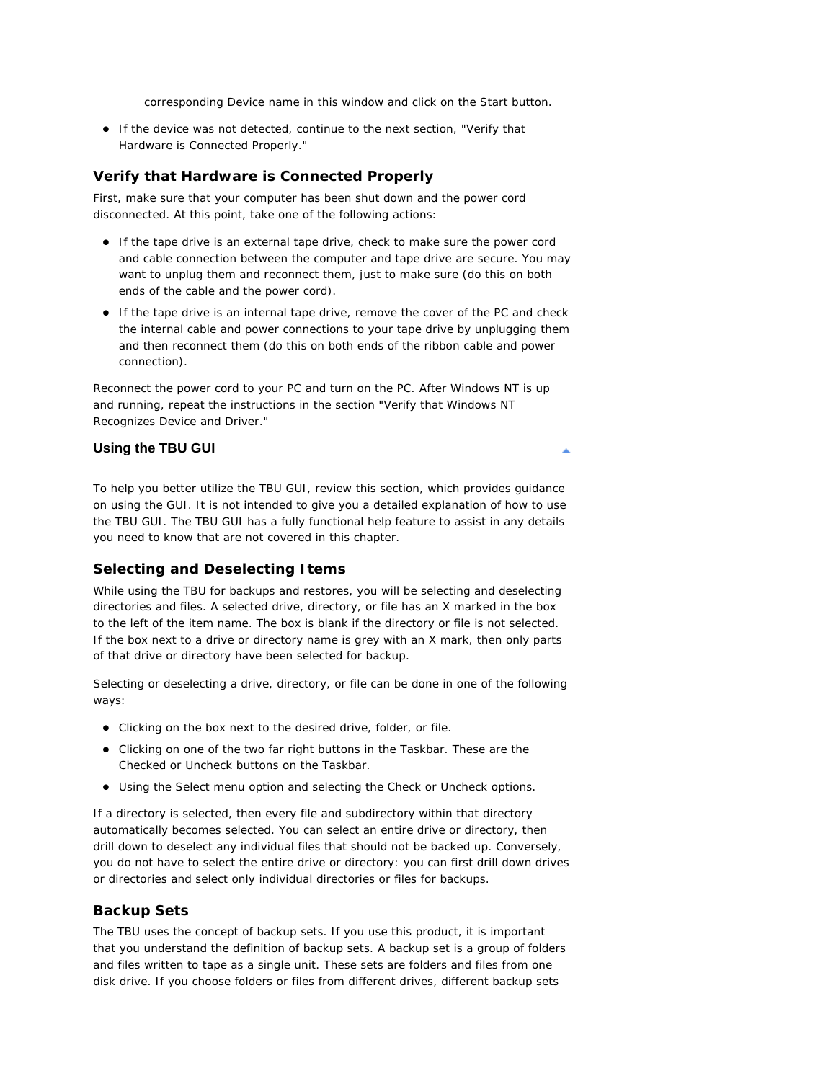corresponding Device name in this window and click on the Start button.

**.** If the device was not detected, continue to the next section, "Verify that Hardware is Connected Properly."

# **Verify that Hardware is Connected Properly**

First, make sure that your computer has been shut down and the power cord disconnected. At this point, take one of the following actions:

- $\bullet$  If the tape drive is an external tape drive, check to make sure the power cord and cable connection between the computer and tape drive are secure. You may want to unplug them and reconnect them, just to make sure (do this on both ends of the cable and the power cord).
- $\bullet$  If the tape drive is an internal tape drive, remove the cover of the PC and check the internal cable and power connections to your tape drive by unplugging them and then reconnect them (do this on both ends of the ribbon cable and power connection).

Reconnect the power cord to your PC and turn on the PC. After Windows NT is up and running, repeat the instructions in the section "Verify that Windows NT Recognizes Device and Driver."

# **Using the TBU GUI**

To help you better utilize the TBU GUI, review this section, which provides guidance on using the GUI. It is not intended to give you a detailed explanation of how to use the TBU GUI. The TBU GUI has a fully functional help feature to assist in any details you need to know that are not covered in this chapter.

# **Selecting and Deselecting Items**

While using the TBU for backups and restores, you will be selecting and deselecting directories and files. A selected drive, directory, or file has an X marked in the box to the left of the item name. The box is blank if the directory or file is not selected. If the box next to a drive or directory name is grey with an X mark, then only parts of that drive or directory have been selected for backup.

Selecting or deselecting a drive, directory, or file can be done in one of the following ways:

- Clicking on the box next to the desired drive, folder, or file.
- Clicking on one of the two far right buttons in the Taskbar. These are the Checked or Uncheck buttons on the Taskbar.
- Using the Select menu option and selecting the Check or Uncheck options.

If a directory is selected, then every file and subdirectory within that directory automatically becomes selected. You can select an entire drive or directory, then drill down to deselect any individual files that should not be backed up. Conversely, you do not have to select the entire drive or directory: you can first drill down drives or directories and select only individual directories or files for backups.

# **Backup Sets**

The TBU uses the concept of backup sets. If you use this product, it is important that you understand the definition of backup sets. A backup set is a group of folders and files written to tape as a single unit. These sets are folders and files from one disk drive. If you choose folders or files from different drives, different backup sets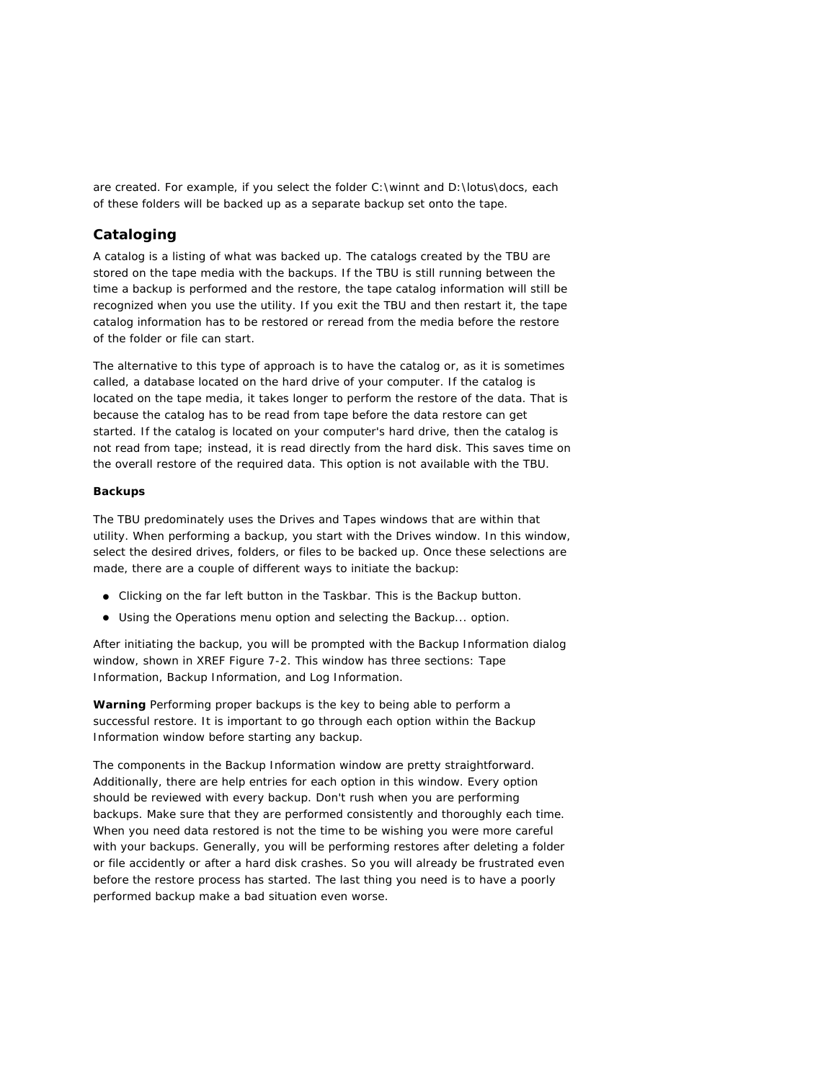are created. For example, if you select the folder C:\winnt and D:\lotus\docs, each of these folders will be backed up as a separate backup set onto the tape.

# **Cataloging**

A catalog is a listing of what was backed up. The catalogs created by the TBU are stored on the tape media with the backups. If the TBU is still running between the time a backup is performed and the restore, the tape catalog information will still be recognized when you use the utility. If you exit the TBU and then restart it, the tape catalog information has to be restored or reread from the media before the restore of the folder or file can start.

The alternative to this type of approach is to have the catalog or, as it is sometimes called, a database located on the hard drive of your computer. If the catalog is located on the tape media, it takes longer to perform the restore of the data. That is because the catalog has to be read from tape before the data restore can get started. If the catalog is located on your computer's hard drive, then the catalog is not read from tape; instead, it is read directly from the hard disk. This saves time on the overall restore of the required data. This option is not available with the TBU.

#### **Backups**

The TBU predominately uses the Drives and Tapes windows that are within that utility. When performing a backup, you start with the Drives window. In this window, select the desired drives, folders, or files to be backed up. Once these selections are made, there are a couple of different ways to initiate the backup:

- Clicking on the far left button in the Taskbar. This is the Backup button.
- Using the Operations menu option and selecting the Backup... option.

After initiating the backup, you will be prompted with the Backup Information dialog window, shown in XREF Figure 7-2. This window has three sections: Tape Information, Backup Information, and Log Information.

**Warning** Performing proper backups is the key to being able to perform a successful restore. It is important to go through each option within the Backup Information window before starting any backup.

The components in the Backup Information window are pretty straightforward. Additionally, there are help entries for each option in this window. Every option should be reviewed with every backup. Don't rush when you are performing backups. Make sure that they are performed consistently and thoroughly each time. When you need data restored is not the time to be wishing you were more careful with your backups. Generally, you will be performing restores after deleting a folder or file accidently or after a hard disk crashes. So you will already be frustrated even before the restore process has started. The last thing you need is to have a poorly performed backup make a bad situation even worse.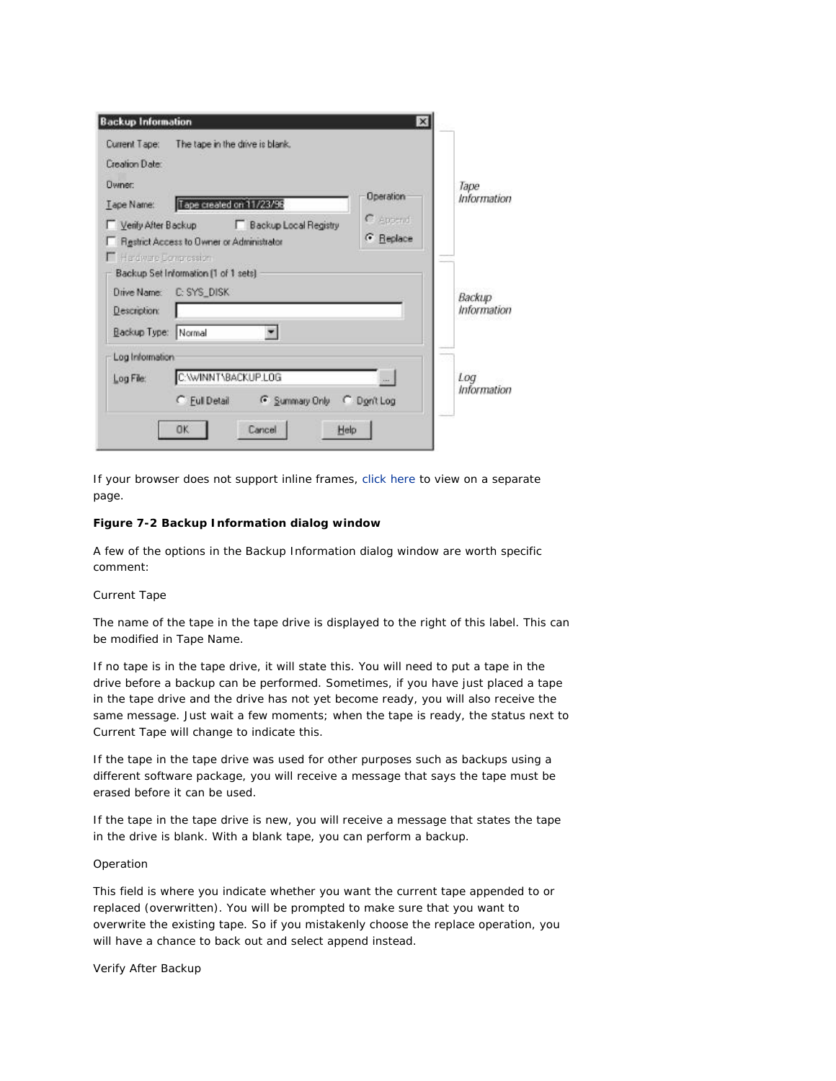| Current Tape:<br>Creation Date:                                                                        | The tape in the drive is blank.                                                    |                       |                     |
|--------------------------------------------------------------------------------------------------------|------------------------------------------------------------------------------------|-----------------------|---------------------|
| Dwner:<br>Tape Name:                                                                                   | Tape created on 11/23/96                                                           | Operation             | Tape<br>Information |
| Verify After Backup<br>Hardware Compression                                                            | <b>F</b> Backup Local Registry<br><b>Restrict Access to Owner or Administrator</b> | C Append<br>← Replace |                     |
| Backup Set Information [1 of 1 sets]<br>Drive Name: C: SYS_DISK<br>Description:<br>Backup Type: Normal | Backup<br>Information                                                              |                       |                     |
| Log Information<br>Log File:                                                                           | C:\\vINNT\BACKUP.LOG<br>G Summary Only C Don't Log<br>C Ful Detail                 |                       | Log<br>Information  |

If your browser does not support inline frames, click here to view on a separate page.

### **Figure 7-2 Backup Information dialog window**

A few of the options in the Backup Information dialog window are worth specific comment:

### *Current Tape*

The name of the tape in the tape drive is displayed to the right of this label. This can be modified in Tape Name.

If no tape is in the tape drive, it will state this. You will need to put a tape in the drive before a backup can be performed. Sometimes, if you have just placed a tape in the tape drive and the drive has not yet become ready, you will also receive the same message. Just wait a few moments; when the tape is ready, the status next to Current Tape will change to indicate this.

If the tape in the tape drive was used for other purposes such as backups using a different software package, you will receive a message that says the tape must be erased before it can be used.

If the tape in the tape drive is new, you will receive a message that states the tape in the drive is blank. With a blank tape, you can perform a backup.

# *Operation*

This field is where you indicate whether you want the current tape appended to or replaced (overwritten). You will be prompted to make sure that you want to overwrite the existing tape. So if you mistakenly choose the replace operation, you will have a chance to back out and select append instead.

### *Verify After Backup*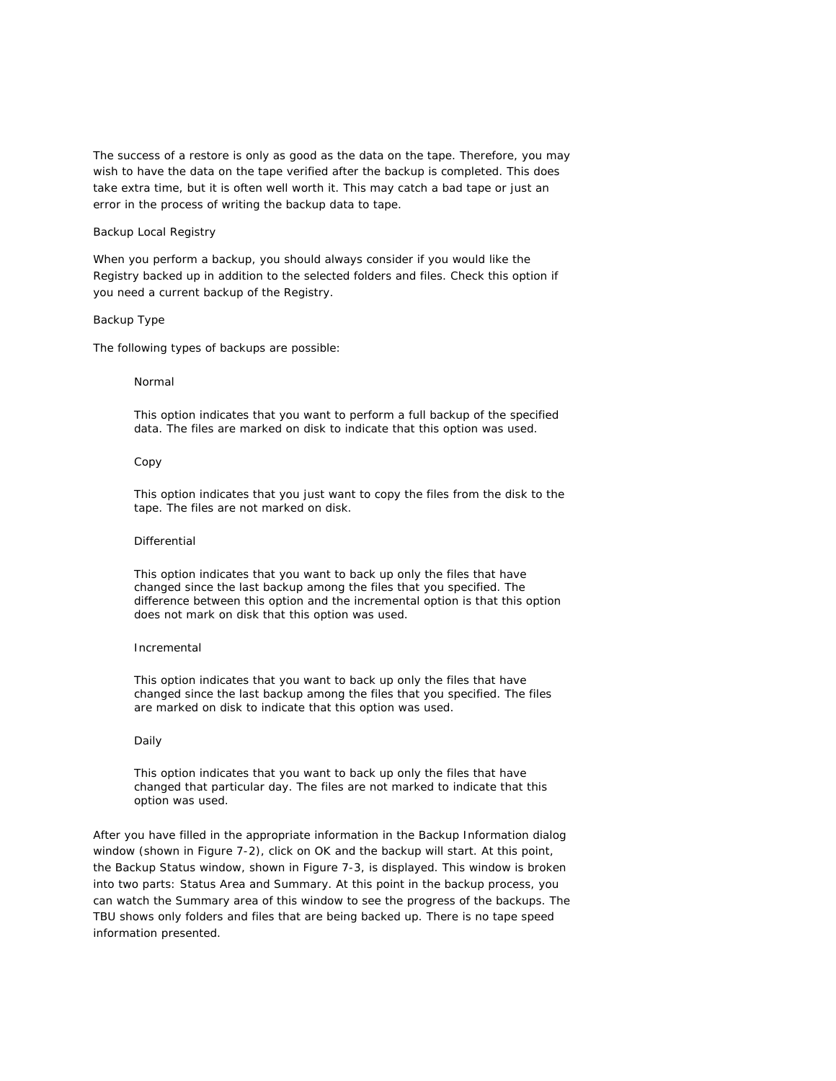The success of a restore is only as good as the data on the tape. Therefore, you may wish to have the data on the tape verified after the backup is completed. This does take extra time, but it is often well worth it. This may catch a bad tape or just an error in the process of writing the backup data to tape.

#### *Backup Local Registry*

When you perform a backup, you should always consider if you would like the Registry backed up in addition to the selected folders and files. Check this option if you need a current backup of the Registry.

### *Backup Type*

The following types of backups are possible:

#### *Normal*

This option indicates that you want to perform a full backup of the specified data. The files are marked on disk to indicate that this option was used.

#### *Copy*

This option indicates that you just want to copy the files from the disk to the tape. The files are not marked on disk.

#### *Differential*

This option indicates that you want to back up only the files that have changed since the last backup among the files that you specified. The difference between this option and the incremental option is that this option does not mark on disk that this option was used.

#### *Incremental*

This option indicates that you want to back up only the files that have changed since the last backup among the files that you specified. The files are marked on disk to indicate that this option was used.

#### *Daily*

This option indicates that you want to back up only the files that have changed that particular day. The files are not marked to indicate that this option was used.

After you have filled in the appropriate information in the Backup Information dialog window (shown in Figure 7-2), click on OK and the backup will start. At this point, the Backup Status window, shown in Figure 7-3, is displayed. This window is broken into two parts: Status Area and Summary. At this point in the backup process, you can watch the Summary area of this window to see the progress of the backups. The TBU shows only folders and files that are being backed up. There is no tape speed information presented.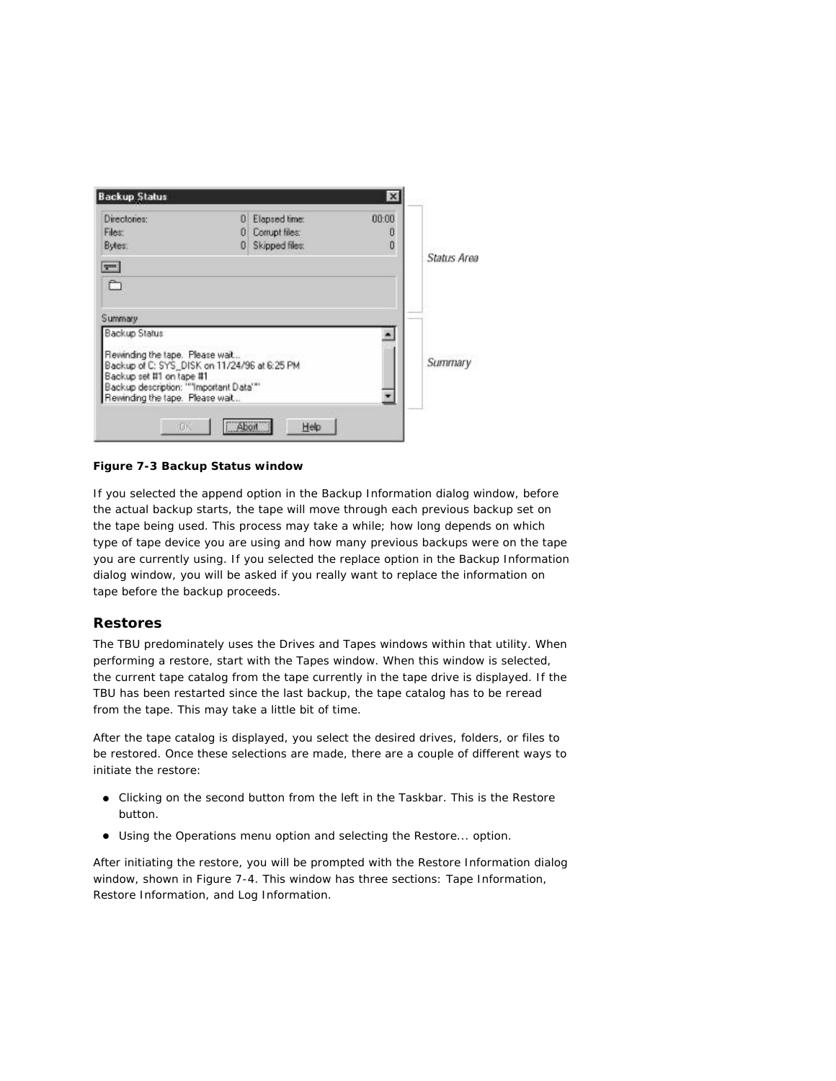| <b>Backup Status</b>                                                                                                                                                                     |               |                                                  | $\boldsymbol{\times}$         |             |
|------------------------------------------------------------------------------------------------------------------------------------------------------------------------------------------|---------------|--------------------------------------------------|-------------------------------|-------------|
| Directories:<br>Files:<br>Bytes.                                                                                                                                                         | 0<br>ĐU.<br>a | Elapsed time:<br>Comupt files:<br>Skipped files: | 00:00<br>$\bf{0}$<br>$\theta$ |             |
| $\equiv$<br>Ò                                                                                                                                                                            |               |                                                  |                               | Status Area |
| Summary<br>Backup Status                                                                                                                                                                 |               |                                                  |                               |             |
| Rewinding the tape. Please wait<br>Backup of C: SYS_DISK on 11/24/96 at 6:25 PM<br>Backup set #1 on tape #1<br>Backup description: ""Important Data""<br>Rewinding the tape. Please wait |               |                                                  |                               | Summary     |
| <b>DK</b>                                                                                                                                                                                | Abort         | Help                                             |                               |             |

### **Figure 7-3 Backup Status window**

If you selected the append option in the Backup Information dialog window, before the actual backup starts, the tape will move through each previous backup set on the tape being used. This process may take a while; how long depends on which type of tape device you are using and how many previous backups were on the tape you are currently using. If you selected the replace option in the Backup Information dialog window, you will be asked if you really want to replace the information on tape before the backup proceeds.

# **Restores**

The TBU predominately uses the Drives and Tapes windows within that utility. When performing a restore, start with the Tapes window. When this window is selected, the current tape catalog from the tape currently in the tape drive is displayed. If the TBU has been restarted since the last backup, the tape catalog has to be reread from the tape. This may take a little bit of time.

After the tape catalog is displayed, you select the desired drives, folders, or files to be restored. Once these selections are made, there are a couple of different ways to initiate the restore:

- Clicking on the second button from the left in the Taskbar. This is the Restore button.
- Using the Operations menu option and selecting the Restore... option.

After initiating the restore, you will be prompted with the Restore Information dialog window, shown in Figure 7-4. This window has three sections: Tape Information, Restore Information, and Log Information.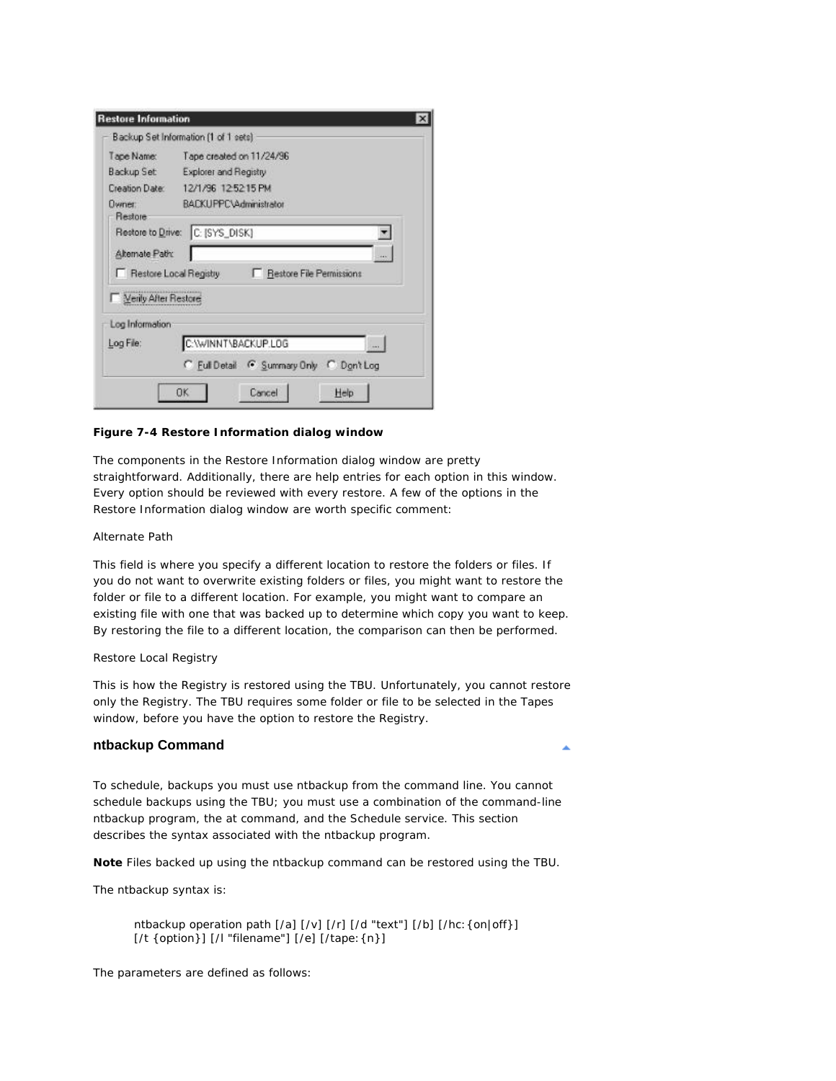| <b>Restore Information</b> |                                          |  |  |
|----------------------------|------------------------------------------|--|--|
|                            | Backup Set Information [1 of 1 sets]     |  |  |
| Tape Name:                 | Tape created on 11/24/96                 |  |  |
| Backup Set                 | Explorer and Registry                    |  |  |
| Creation Date:             | 12/1/96 125215 PM                        |  |  |
| Dwner:<br>Restore          | BACKUPPC\Administrator                   |  |  |
|                            | Restore to Drive: C: [SYS_DISK]          |  |  |
| Alternate Path:            |                                          |  |  |
| Restore Local Registry     | Restore File Permissions                 |  |  |
| Verily After Restore       |                                          |  |  |
| Log Information            |                                          |  |  |
| Log File:                  | C:\\wINNT\BACKUP.LOG                     |  |  |
|                            | C Full Detail G Summary Only C Don't Log |  |  |
|                            | OK<br>Cancel<br>Help                     |  |  |

### **Figure 7-4 Restore Information dialog window**

The components in the Restore Information dialog window are pretty straightforward. Additionally, there are help entries for each option in this window. Every option should be reviewed with every restore. A few of the options in the Restore Information dialog window are worth specific comment:

#### *Alternate Path*

This field is where you specify a different location to restore the folders or files. If you do not want to overwrite existing folders or files, you might want to restore the folder or file to a different location. For example, you might want to compare an existing file with one that was backed up to determine which copy you want to keep. By restoring the file to a different location, the comparison can then be performed.

# *Restore Local Registry*

This is how the Registry is restored using the TBU. Unfortunately, you cannot restore only the Registry. The TBU requires some folder or file to be selected in the Tapes window, before you have the option to restore the Registry.

# **ntbackup Command**

To schedule, backups you must use ntbackup from the command line. You cannot schedule backups using the TBU; you must use a combination of the command-line ntbackup program, the at command, and the Schedule service. This section describes the syntax associated with the ntbackup program.

**Note** Files backed up using the ntbackup command can be restored using the TBU.

The ntbackup syntax is:

ntbackup operation path [/a] [/v] [/r] [/d "text"] [/b] [/hc:{on|off}] [/t {option}] [/l "filename"] [/e] [/tape: {n}]

The parameters are defined as follows: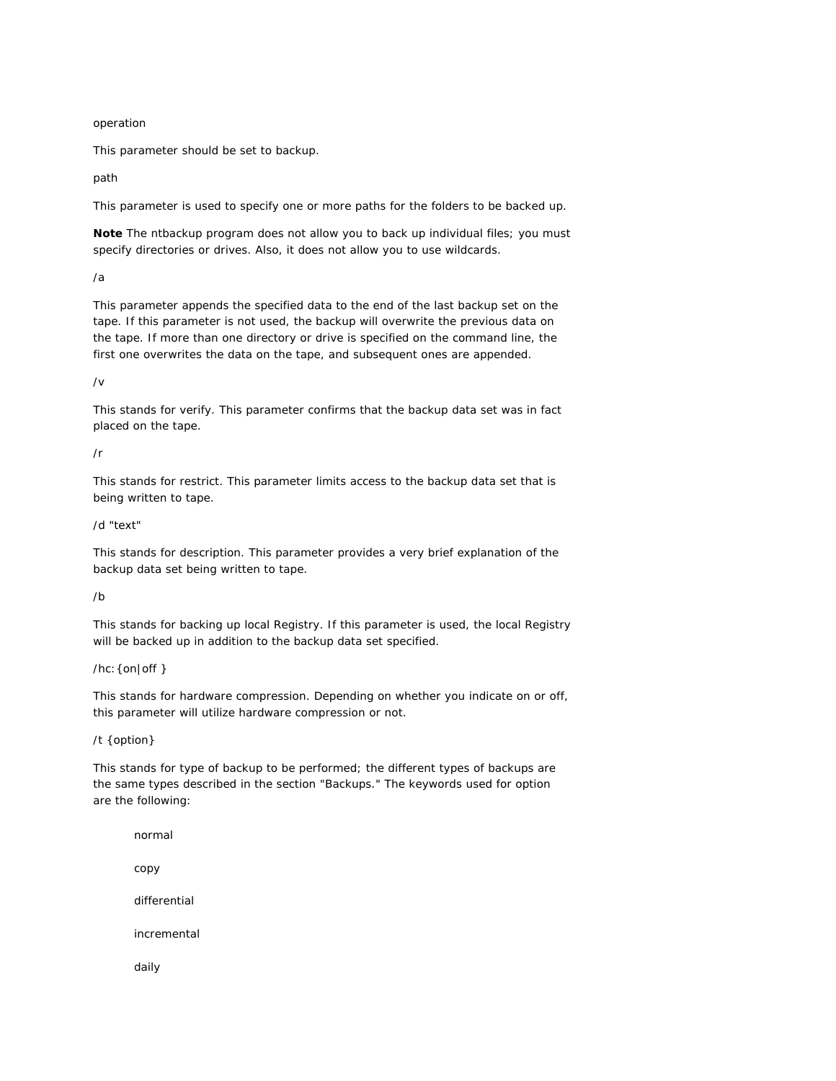### *operation*

This parameter should be set to backup.

*path*

This parameter is used to specify one or more paths for the folders to be backed up.

**Note** The ntbackup program does not allow you to back up individual files; you must specify directories or drives. Also, it does not allow you to use wildcards.

*/a*

This parameter appends the specified data to the end of the last backup set on the tape. If this parameter is not used, the backup will overwrite the previous data on the tape. If more than one directory or drive is specified on the command line, the first one overwrites the data on the tape, and subsequent ones are appended.

### */v*

This stands for verify. This parameter confirms that the backup data set was in fact placed on the tape.

# */r*

This stands for restrict. This parameter limits access to the backup data set that is being written to tape.

# */d "text"*

This stands for description. This parameter provides a very brief explanation of the backup data set being written to tape.

### */b*

This stands for backing up local Registry. If this parameter is used, the local Registry will be backed up in addition to the backup data set specified.

### */hc:{on|off }*

This stands for hardware compression. Depending on whether you indicate on or off, this parameter will utilize hardware compression or not.

#### */t {option}*

This stands for type of backup to be performed; the different types of backups are the same types described in the section "Backups." The keywords used for option are the following:

normal copy differential incremental daily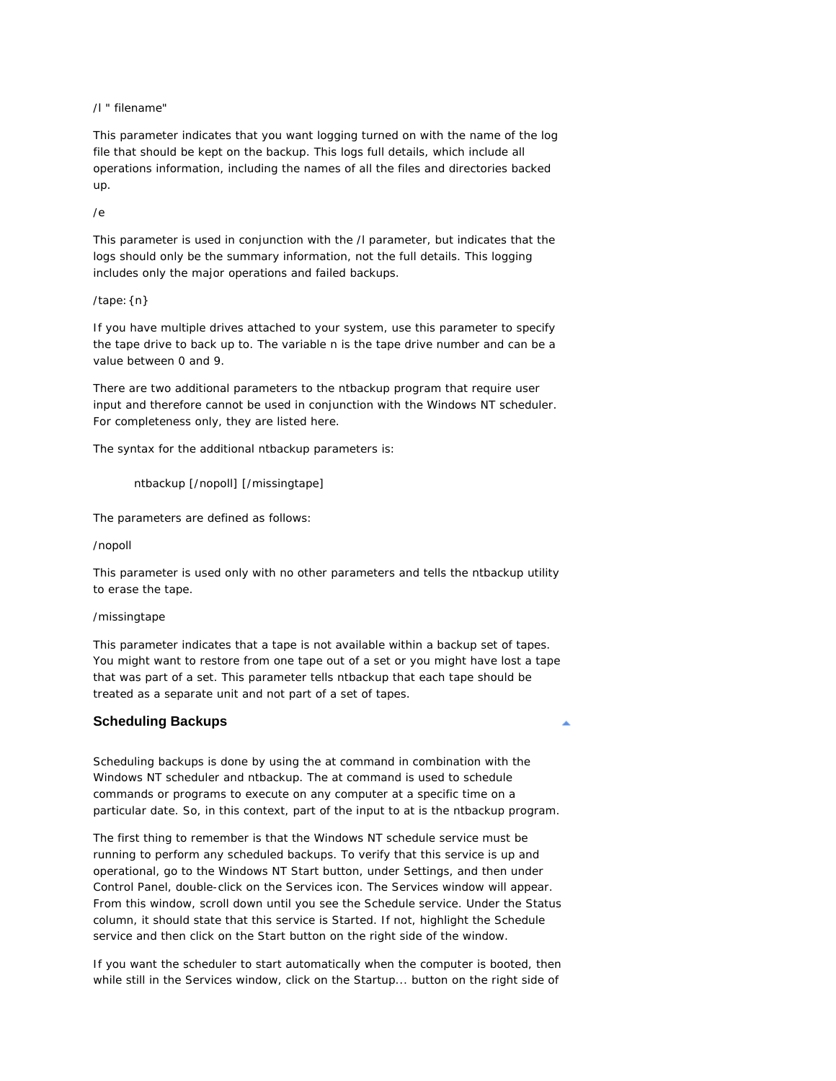*/l " filename"*

This parameter indicates that you want logging turned on with the name of the log file that should be kept on the backup. This logs full details, which include all operations information, including the names of all the files and directories backed up.

/e

This parameter is used in conjunction with the /l parameter, but indicates that the logs should only be the summary information, not the full details. This logging includes only the major operations and failed backups.

### /tape:{n}

If you have multiple drives attached to your system, use this parameter to specify the tape drive to back up to. The variable n is the tape drive number and can be a value between 0 and 9.

There are two additional parameters to the ntbackup program that require user input and therefore cannot be used in conjunction with the Windows NT scheduler. For completeness only, they are listed here.

The syntax for the additional ntbackup parameters is:

```
ntbackup [/nopoll] [/missingtape]
```
The parameters are defined as follows:

*/nopoll* 

This parameter is used only with no other parameters and tells the ntbackup utility to erase the tape.

### */missingtape*

This parameter indicates that a tape is not available within a backup set of tapes. You might want to restore from one tape out of a set or you might have lost a tape that was part of a set. This parameter tells ntbackup that each tape should be treated as a separate unit and not part of a set of tapes.

# **Scheduling Backups**

Scheduling backups is done by using the at command in combination with the Windows NT scheduler and ntbackup. The at command is used to schedule commands or programs to execute on any computer at a specific time on a particular date. So, in this context, part of the input to at is the ntbackup program.

The first thing to remember is that the Windows NT schedule service must be running to perform any scheduled backups. To verify that this service is up and operational, go to the Windows NT Start button, under Settings, and then under Control Panel, double-click on the Services icon. The Services window will appear. From this window, scroll down until you see the Schedule service. Under the Status column, it should state that this service is Started. If not, highlight the Schedule service and then click on the Start button on the right side of the window.

If you want the scheduler to start automatically when the computer is booted, then while still in the Services window, click on the Startup... button on the right side of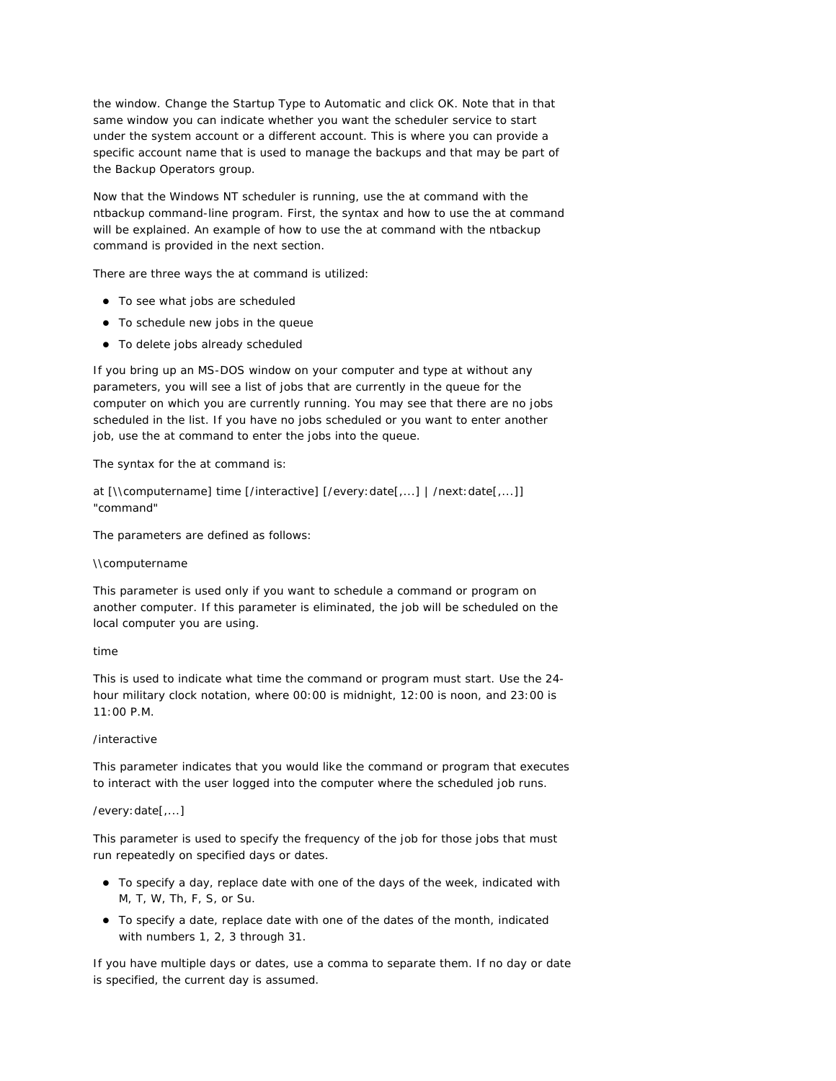the window. Change the Startup Type to Automatic and click OK. Note that in that same window you can indicate whether you want the scheduler service to start under the system account or a different account. This is where you can provide a specific account name that is used to manage the backups and that may be part of the Backup Operators group.

Now that the Windows NT scheduler is running, use the at command with the ntbackup command-line program. First, the syntax and how to use the at command will be explained. An example of how to use the at command with the ntbackup command is provided in the next section.

There are three ways the at command is utilized:

- $\bullet$  To see what jobs are scheduled
- To schedule new jobs in the queue
- $\bullet$  To delete jobs already scheduled

If you bring up an MS-DOS window on your computer and type at without any parameters, you will see a list of jobs that are currently in the queue for the computer on which you are currently running. You may see that there are no jobs scheduled in the list. If you have no jobs scheduled or you want to enter another job, use the at command to enter the jobs into the queue.

The syntax for the at command is:

at [\\computername] time [/interactive] [/every:date[,...] | /next:date[,...]] "command"

The parameters are defined as follows:

#### *\\computername*

This parameter is used only if you want to schedule a command or program on another computer. If this parameter is eliminated, the job will be scheduled on the local computer you are using.

#### *time*

This is used to indicate what time the command or program must start. Use the 24 hour military clock notation, where 00:00 is midnight, 12:00 is noon, and 23:00 is 11:00 P.M.

#### */interactive*

This parameter indicates that you would like the command or program that executes to interact with the user logged into the computer where the scheduled job runs.

#### */every:date[,...]*

This parameter is used to specify the frequency of the job for those jobs that must run repeatedly on specified days or dates.

- To specify a day, replace date with one of the days of the week, indicated with M, T, W, Th, F, S, or Su.
- To specify a date, replace date with one of the dates of the month, indicated with numbers 1, 2, 3 through 31.

If you have multiple days or dates, use a comma to separate them. If no day or date is specified, the current day is assumed.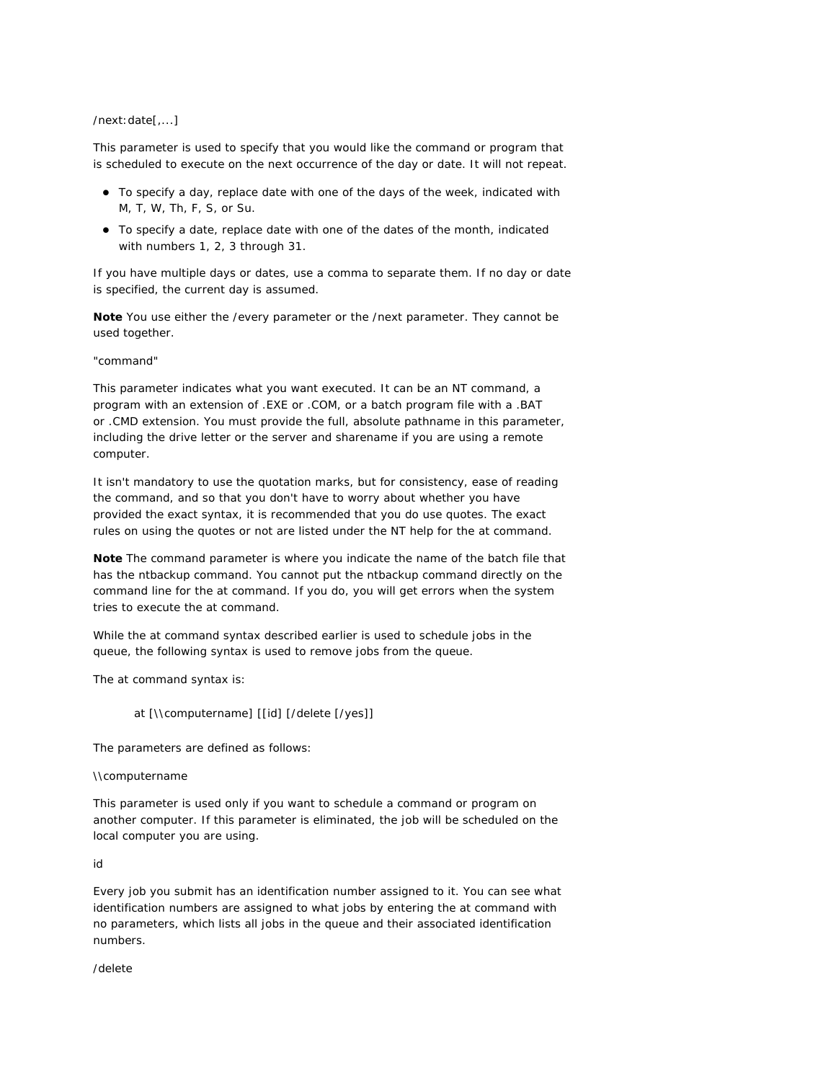#### */next:date[,...]*

This parameter is used to specify that you would like the command or program that is scheduled to execute on the next occurrence of the day or date. It will not repeat.

- To specify a day, replace date with one of the days of the week, indicated with M, T, W, Th, F, S, or Su.
- $\bullet$  To specify a date, replace date with one of the dates of the month, indicated with numbers 1, 2, 3 through 31.

If you have multiple days or dates, use a comma to separate them. If no day or date is specified, the current day is assumed.

**Note** You use either the /every parameter or the /next parameter. They cannot be used together.

#### *"command"*

This parameter indicates what you want executed. It can be an NT command, a program with an extension of .EXE or .COM, or a batch program file with a .BAT or .CMD extension. You must provide the full, absolute pathname in this parameter, including the drive letter or the server and sharename if you are using a remote computer.

It isn't mandatory to use the quotation marks, but for consistency, ease of reading the command, and so that you don't have to worry about whether you have provided the exact syntax, it is recommended that you do use quotes. The exact rules on using the quotes or not are listed under the NT help for the at command.

**Note** The command parameter is where you indicate the name of the batch file that has the ntbackup command. You cannot put the ntbackup command directly on the command line for the at command. If you do, you will get errors when the system tries to execute the at command.

While the at command syntax described earlier is used to schedule jobs in the queue, the following syntax is used to remove jobs from the queue.

The at command syntax is:

at [\\computername] [[id] [/delete [/yes]]

The parameters are defined as follows:

#### *\\computername*

This parameter is used only if you want to schedule a command or program on another computer. If this parameter is eliminated, the job will be scheduled on the local computer you are using.

# *id*

Every job you submit has an identification number assigned to it. You can see what identification numbers are assigned to what jobs by entering the at command with no parameters, which lists all jobs in the queue and their associated identification numbers.

*/delete*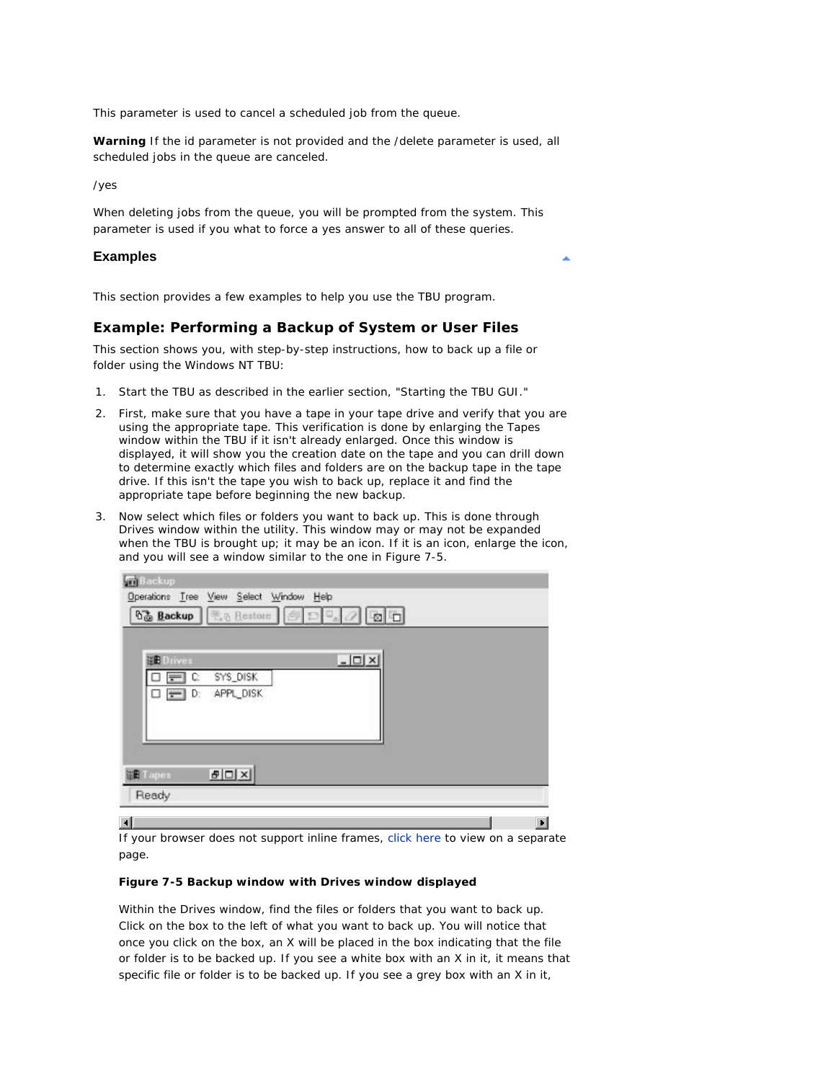This parameter is used to cancel a scheduled job from the queue.

**Warning** If the id parameter is not provided and the /delete parameter is used, all scheduled jobs in the queue are canceled.

*/yes*

When deleting jobs from the queue, you will be prompted from the system. This parameter is used if you what to force a yes answer to all of these queries.

# **Examples**

This section provides a few examples to help you use the TBU program.

# **Example: Performing a Backup of System or User Files**

This section shows you, with step-by-step instructions, how to back up a file or folder using the Windows NT TBU:

- 1. Start the TBU as described in the earlier section, "Starting the TBU GUI."
- 2. First, make sure that you have a tape in your tape drive and verify that you are using the appropriate tape. This verification is done by enlarging the Tapes window within the TBU if it isn't already enlarged. Once this window is displayed, it will show you the creation date on the tape and you can drill down to determine exactly which files and folders are on the backup tape in the tape drive. If this isn't the tape you wish to back up, replace it and find the appropriate tape before beginning the new backup.
- 3. Now select which files or folders you want to back up. This is done through Drives window within the utility. This window may or may not be expanded when the TBU is brought up; it may be an icon. If it is an icon, enlarge the icon, and you will see a window similar to the one in Figure 7-5.

| Operations Tree View Select Window Help<br>6d Backup   电石 Restore   图 口 口 / 图 口 |          |                  |  |
|---------------------------------------------------------------------------------|----------|------------------|--|
| <b>SE Drives</b><br>c<br>$=$<br>APPL_DISK<br>$\Box$ $\Box$ $\Box$               | SYS_DISK | $ \Box$ $\times$ |  |
| $B$ $\Box$ $\times$<br><b>IET</b> Tapes<br>Ready                                |          |                  |  |

If your browser does not support inline frames, click here to view on a separate page.

#### **Figure 7-5 Backup window with Drives window displayed**

Within the Drives window, find the files or folders that you want to back up. Click on the box to the left of what you want to back up. You will notice that once you click on the box, an X will be placed in the box indicating that the file or folder is to be backed up. If you see a white box with an X in it, it means that specific file or folder is to be backed up. If you see a grey box with an X in it,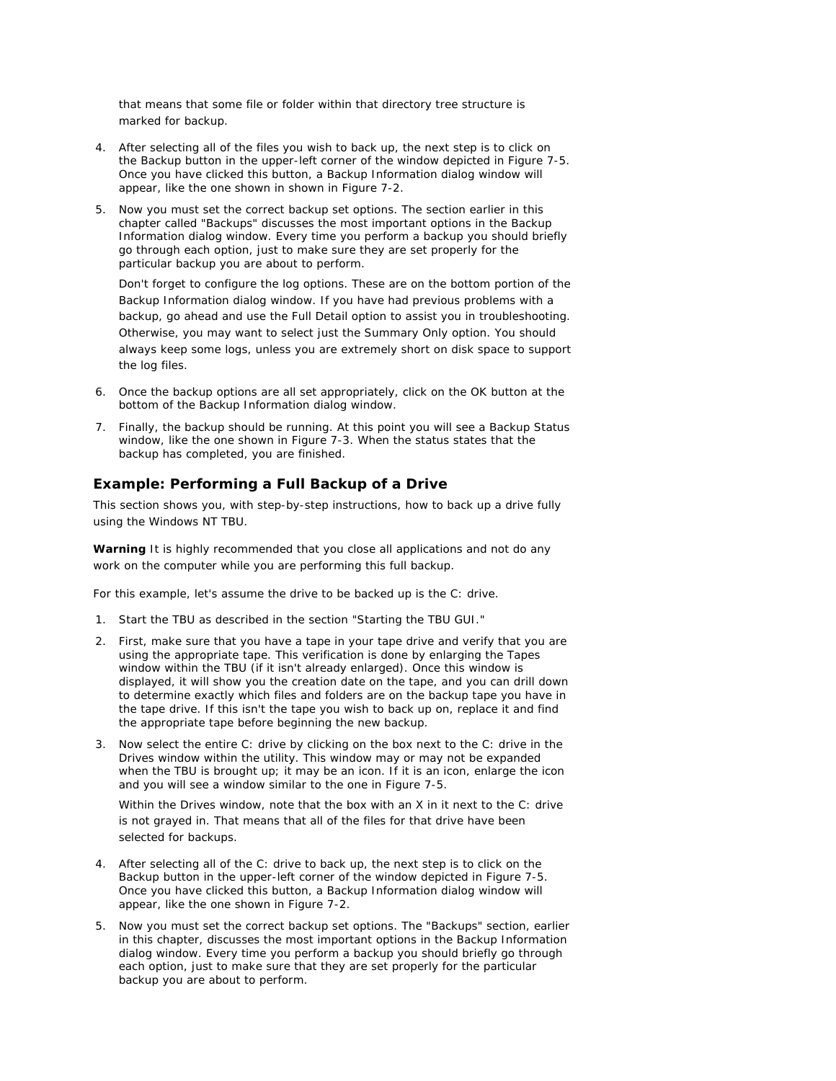that means that some file or folder within that directory tree structure is marked for backup.

- 4. After selecting all of the files you wish to back up, the next step is to click on the Backup button in the upper-left corner of the window depicted in Figure 7-5. Once you have clicked this button, a Backup Information dialog window will appear, like the one shown in shown in Figure 7-2.
- 5. Now you must set the correct backup set options. The section earlier in this chapter called "Backups" discusses the most important options in the Backup Information dialog window. Every time you perform a backup you should briefly go through each option, just to make sure they are set properly for the particular backup you are about to perform.

Don't forget to configure the log options. These are on the bottom portion of the Backup Information dialog window. If you have had previous problems with a backup, go ahead and use the Full Detail option to assist you in troubleshooting. Otherwise, you may want to select just the Summary Only option. You should always keep some logs, unless you are extremely short on disk space to support the log files.

- 6. Once the backup options are all set appropriately, click on the OK button at the bottom of the Backup Information dialog window.
- 7. Finally, the backup should be running. At this point you will see a Backup Status window, like the one shown in Figure 7-3. When the status states that the backup has completed, you are finished.

# **Example: Performing a Full Backup of a Drive**

This section shows you, with step-by-step instructions, how to back up a drive fully using the Windows NT TBU.

**Warning** It is highly recommended that you close all applications and not do any work on the computer while you are performing this full backup.

For this example, let's assume the drive to be backed up is the C: drive.

- 1. Start the TBU as described in the section "Starting the TBU GUI."
- 2. First, make sure that you have a tape in your tape drive and verify that you are using the appropriate tape. This verification is done by enlarging the Tapes window within the TBU (if it isn't already enlarged). Once this window is displayed, it will show you the creation date on the tape, and you can drill down to determine exactly which files and folders are on the backup tape you have in the tape drive. If this isn't the tape you wish to back up on, replace it and find the appropriate tape before beginning the new backup.
- 3. Now select the entire C: drive by clicking on the box next to the C: drive in the Drives window within the utility. This window may or may not be expanded when the TBU is brought up; it may be an icon. If it is an icon, enlarge the icon and you will see a window similar to the one in Figure 7-5.

Within the Drives window, note that the box with an X in it next to the C: drive is not grayed in. That means that all of the files for that drive have been selected for backups.

- 4. After selecting all of the C: drive to back up, the next step is to click on the Backup button in the upper-left corner of the window depicted in Figure 7-5. Once you have clicked this button, a Backup Information dialog window will appear, like the one shown in Figure 7-2.
- 5. Now you must set the correct backup set options. The "Backups" section, earlier in this chapter, discusses the most important options in the Backup Information dialog window. Every time you perform a backup you should briefly go through each option, just to make sure that they are set properly for the particular backup you are about to perform.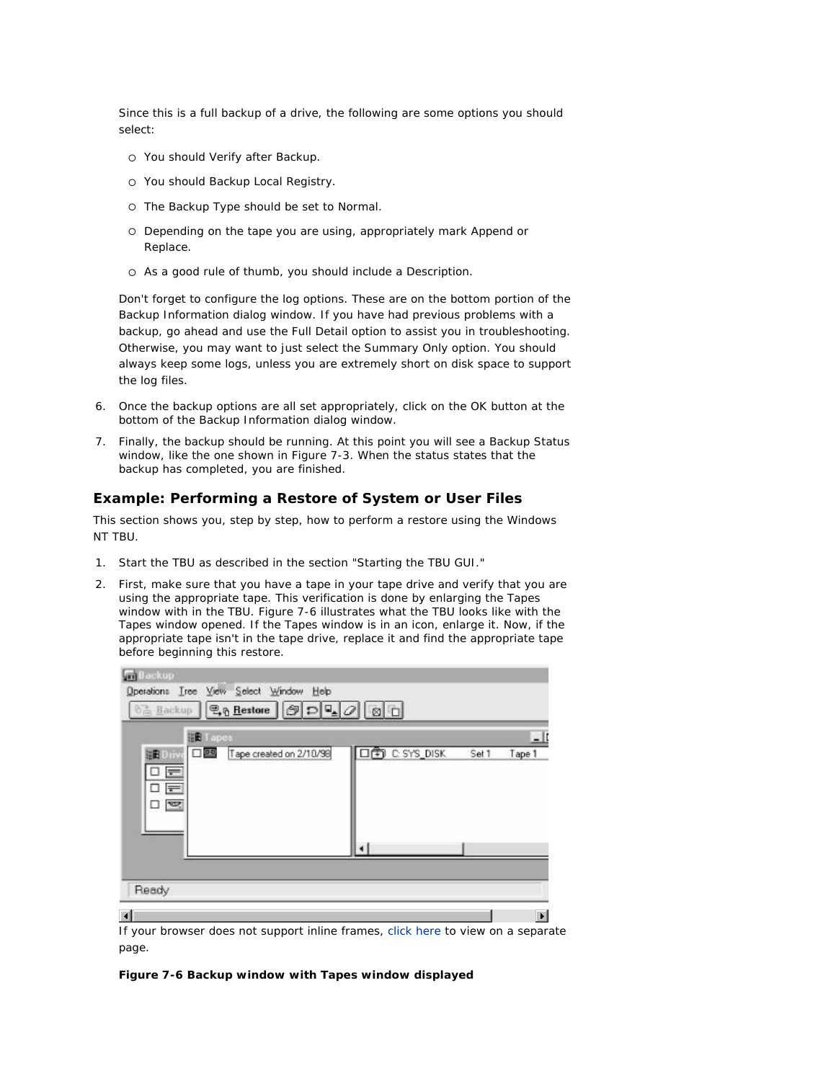Since this is a full backup of a drive, the following are some options you should select:

- $O$  You should Verify after Backup.
- $\circ$  You should Backup Local Registry.
- ° The Backup Type should be set to Normal.
- ° Depending on the tape you are using, appropriately mark Append or Replace.
- ° As a good rule of thumb, you should include a Description.

Don't forget to configure the log options. These are on the bottom portion of the Backup Information dialog window. If you have had previous problems with a backup, go ahead and use the Full Detail option to assist you in troubleshooting. Otherwise, you may want to just select the Summary Only option. You should always keep some logs, unless you are extremely short on disk space to support the log files.

- 6. Once the backup options are all set appropriately, click on the OK button at the bottom of the Backup Information dialog window.
- 7. Finally, the backup should be running. At this point you will see a Backup Status window, like the one shown in Figure 7-3. When the status states that the backup has completed, you are finished.

# **Example: Performing a Restore of System or User Files**

This section shows you, step by step, how to perform a restore using the Windows NT TBU.

- 1. Start the TBU as described in the section "Starting the TBU GUI."
- 2. First, make sure that you have a tape in your tape drive and verify that you are using the appropriate tape. This verification is done by enlarging the Tapes window with in the TBU. Figure 7-6 illustrates what the TBU looks like with the Tapes window opened. If the Tapes window is in an icon, enlarge it. Now, if the appropriate tape isn't in the tape drive, replace it and find the appropriate tape before beginning this restore.



If your browser does not support inline frames, click here to view on a separate page.

**Figure 7-6 Backup window with Tapes window displayed**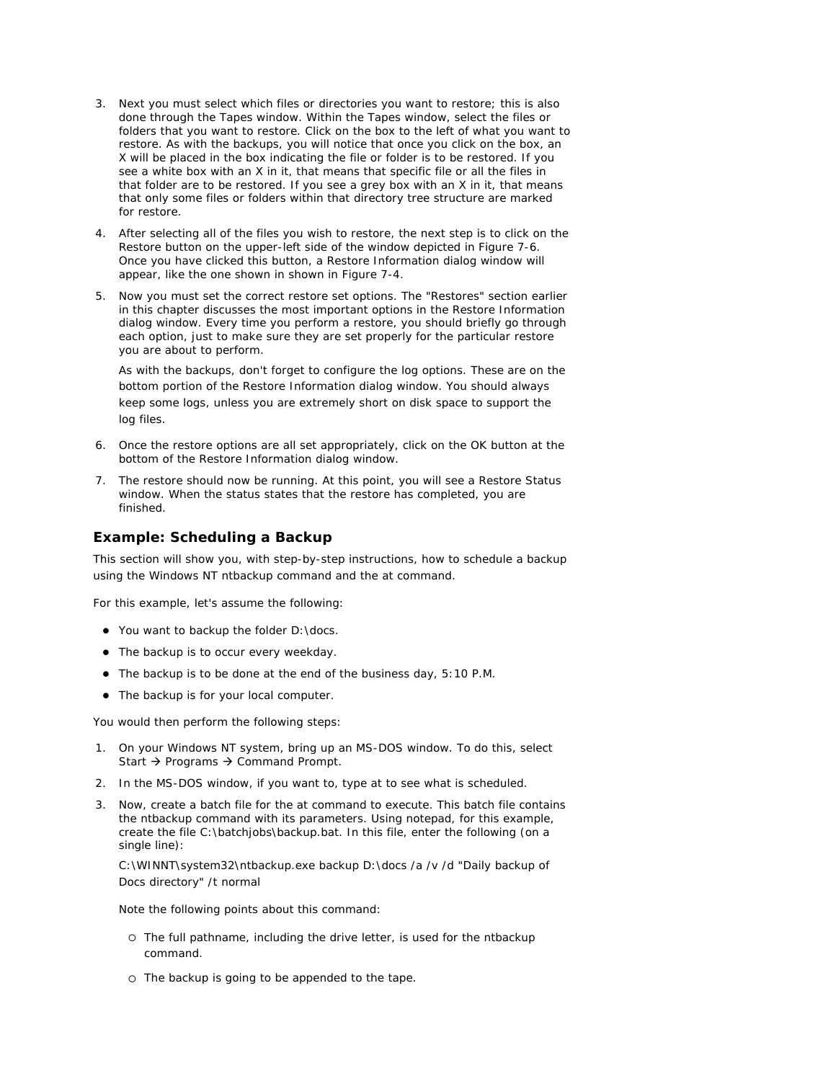- 3. Next you must select which files or directories you want to restore; this is also done through the Tapes window. Within the Tapes window, select the files or folders that you want to restore. Click on the box to the left of what you want to restore. As with the backups, you will notice that once you click on the box, an X will be placed in the box indicating the file or folder is to be restored. If you see a white box with an X in it, that means that specific file or all the files in that folder are to be restored. If you see a grey box with an X in it, that means that only some files or folders within that directory tree structure are marked for restore.
- 4. After selecting all of the files you wish to restore, the next step is to click on the Restore button on the upper-left side of the window depicted in Figure 7-6. Once you have clicked this button, a Restore Information dialog window will appear, like the one shown in shown in Figure 7-4.
- 5. Now you must set the correct restore set options. The "Restores" section earlier in this chapter discusses the most important options in the Restore Information dialog window. Every time you perform a restore, you should briefly go through each option, just to make sure they are set properly for the particular restore you are about to perform.

As with the backups, don't forget to configure the log options. These are on the bottom portion of the Restore Information dialog window. You should always keep some logs, unless you are extremely short on disk space to support the log files.

- 6. Once the restore options are all set appropriately, click on the OK button at the bottom of the Restore Information dialog window.
- 7. The restore should now be running. At this point, you will see a Restore Status window. When the status states that the restore has completed, you are finished.

# **Example: Scheduling a Backup**

This section will show you, with step-by-step instructions, how to schedule a backup using the Windows NT ntbackup command and the at command.

For this example, let's assume the following:

- You want to backup the folder D: \docs.
- The backup is to occur every weekday.
- $\bullet$  The backup is to be done at the end of the business day, 5:10 P.M.
- The backup is for your local computer.

You would then perform the following steps:

- 1. On your Windows NT system, bring up an MS-DOS window. To do this, select Start  $\rightarrow$  Programs  $\rightarrow$  Command Prompt.
- 2. In the MS-DOS window, if you want to, type at to see what is scheduled.
- 3. Now, create a batch file for the at command to execute. This batch file contains the ntbackup command with its parameters. Using notepad, for this example, create the file C:\batchjobs\backup.bat. In this file, enter the following (on a single line):

C:\WINNT\system32\ntbackup.exe backup D:\docs /a /v /d "Daily backup of Docs directory" /t normal

Note the following points about this command:

- ° The full pathname, including the drive letter, is used for the ntbackup command.
- ° The backup is going to be appended to the tape.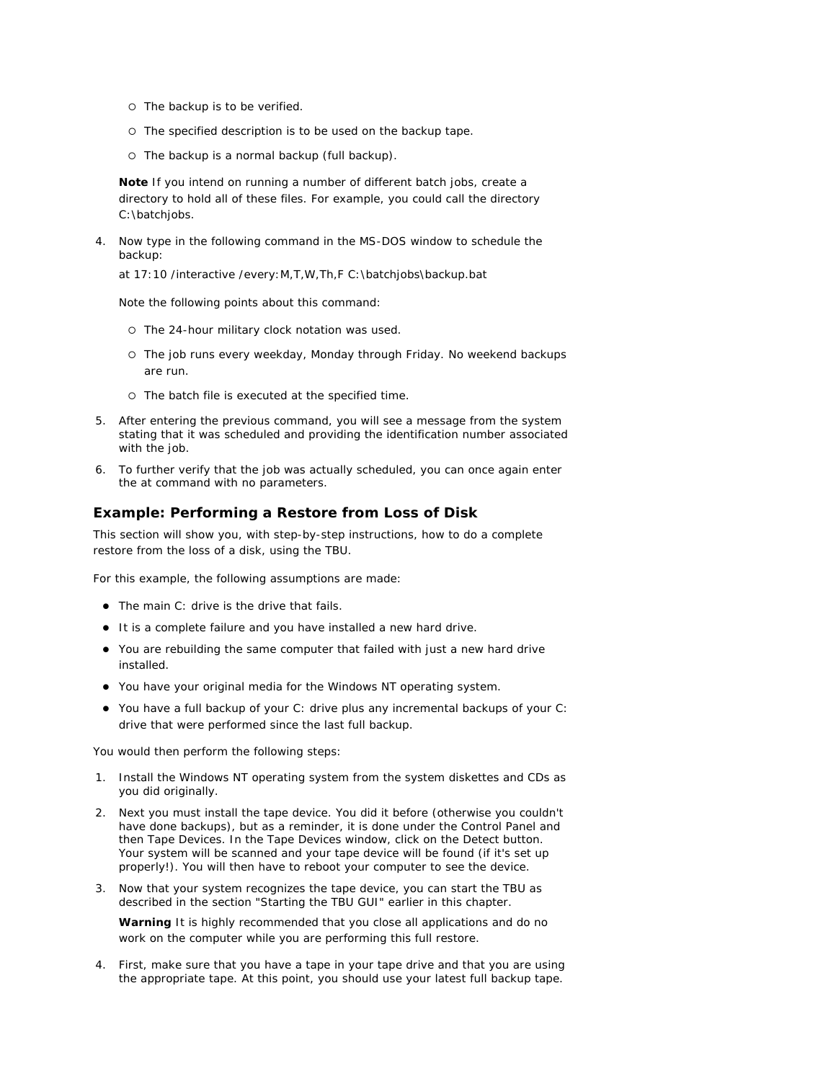- $\circ$  The backup is to be verified.
- ° The specified description is to be used on the backup tape.
- ° The backup is a normal backup (full backup).

**Note** If you intend on running a number of different batch jobs, create a directory to hold all of these files. For example, you could call the directory C:\batchjobs.

4. Now type in the following command in the MS-DOS window to schedule the backup:

at 17:10 /interactive /every:M,T,W,Th,F C:\batchjobs\backup.bat

Note the following points about this command:

- ° The 24-hour military clock notation was used.
- ° The job runs every weekday, Monday through Friday. No weekend backups are run.
- ° The batch file is executed at the specified time.
- 5. After entering the previous command, you will see a message from the system stating that it was scheduled and providing the identification number associated with the job.
- 6. To further verify that the job was actually scheduled, you can once again enter the at command with no parameters.

# **Example: Performing a Restore from Loss of Disk**

This section will show you, with step-by-step instructions, how to do a complete restore from the loss of a disk, using the TBU.

For this example, the following assumptions are made:

- The main C: drive is the drive that fails.
- It is a complete failure and you have installed a new hard drive.
- You are rebuilding the same computer that failed with just a new hard drive installed.
- You have your original media for the Windows NT operating system.
- $\bullet$  You have a full backup of your C: drive plus any incremental backups of your C: drive that were performed since the last full backup.

You would then perform the following steps:

- 1. Install the Windows NT operating system from the system diskettes and CDs as you did originally.
- 2. Next you must install the tape device. You did it before (otherwise you couldn't have done backups), but as a reminder, it is done under the Control Panel and then Tape Devices. In the Tape Devices window, click on the Detect button. Your system will be scanned and your tape device will be found (if it's set up properly!). You will then have to reboot your computer to see the device.
- 3. Now that your system recognizes the tape device, you can start the TBU as described in the section "Starting the TBU GUI" earlier in this chapter.

**Warning** It is highly recommended that you close all applications and do no work on the computer while you are performing this full restore.

4. First, make sure that you have a tape in your tape drive and that you are using the appropriate tape. At this point, you should use your latest full backup tape.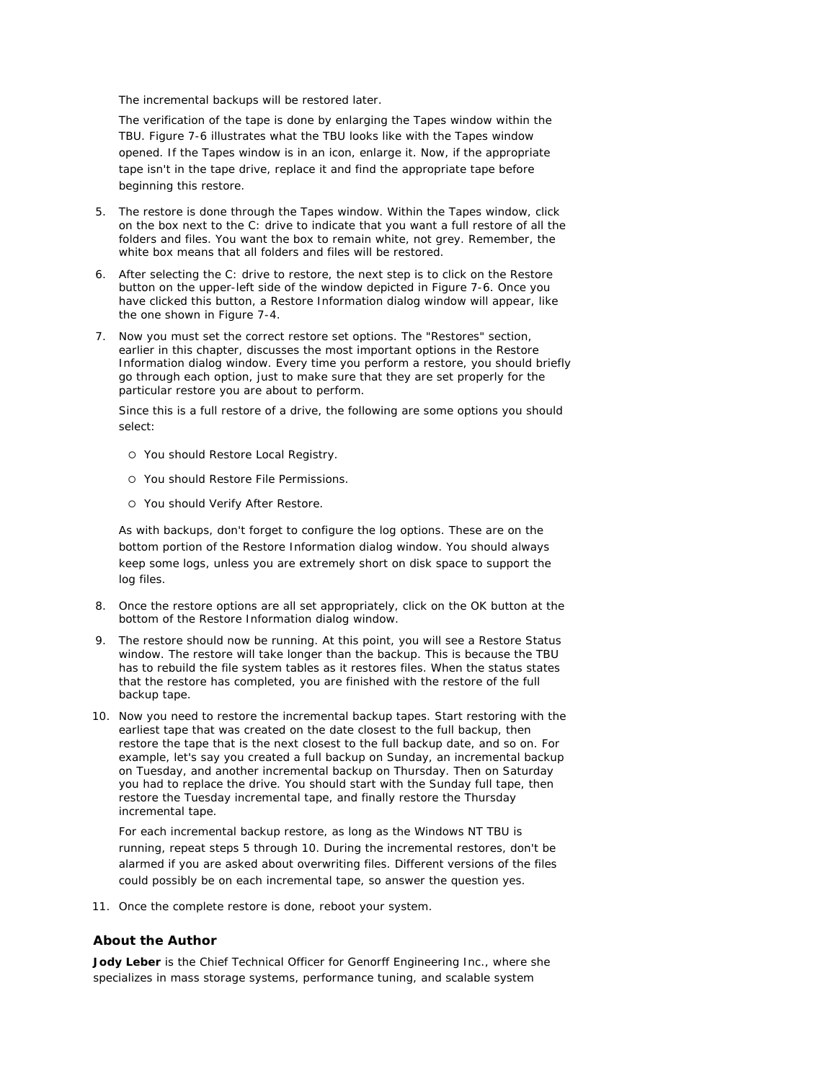The incremental backups will be restored later.

The verification of the tape is done by enlarging the Tapes window within the TBU. Figure 7-6 illustrates what the TBU looks like with the Tapes window opened. If the Tapes window is in an icon, enlarge it. Now, if the appropriate tape isn't in the tape drive, replace it and find the appropriate tape before beginning this restore.

- 5. The restore is done through the Tapes window. Within the Tapes window, click on the box next to the C: drive to indicate that you want a full restore of all the folders and files. You want the box to remain white, not grey. Remember, the white box means that all folders and files will be restored.
- 6. After selecting the C: drive to restore, the next step is to click on the Restore button on the upper-left side of the window depicted in Figure 7-6. Once you have clicked this button, a Restore Information dialog window will appear, like the one shown in Figure 7-4.
- 7. Now you must set the correct restore set options. The "Restores" section, earlier in this chapter, discusses the most important options in the Restore Information dialog window. Every time you perform a restore, you should briefly go through each option, just to make sure that they are set properly for the particular restore you are about to perform.

Since this is a full restore of a drive, the following are some options you should select:

- $\circ$  You should Restore Local Registry.
- ° You should Restore File Permissions.
- $O$  You should Verify After Restore.

As with backups, don't forget to configure the log options. These are on the bottom portion of the Restore Information dialog window. You should always keep some logs, unless you are extremely short on disk space to support the log files.

- 8. Once the restore options are all set appropriately, click on the OK button at the bottom of the Restore Information dialog window.
- 9. The restore should now be running. At this point, you will see a Restore Status window. The restore will take longer than the backup. This is because the TBU has to rebuild the file system tables as it restores files. When the status states that the restore has completed, you are finished with the restore of the full backup tape.
- 10. Now you need to restore the incremental backup tapes. Start restoring with the earliest tape that was created on the date closest to the full backup, then restore the tape that is the next closest to the full backup date, and so on. For example, let's say you created a full backup on Sunday, an incremental backup on Tuesday, and another incremental backup on Thursday. Then on Saturday you had to replace the drive. You should start with the Sunday full tape, then restore the Tuesday incremental tape, and finally restore the Thursday incremental tape.

For each incremental backup restore, as long as the Windows NT TBU is running, repeat steps 5 through 10. During the incremental restores, don't be alarmed if you are asked about overwriting files. Different versions of the files could possibly be on each incremental tape, so answer the question yes.

11. Once the complete restore is done, reboot your system.

# **About the Author**

**Jody Leber** is the Chief Technical Officer for Genorff Engineering Inc., where she specializes in mass storage systems, performance tuning, and scalable system